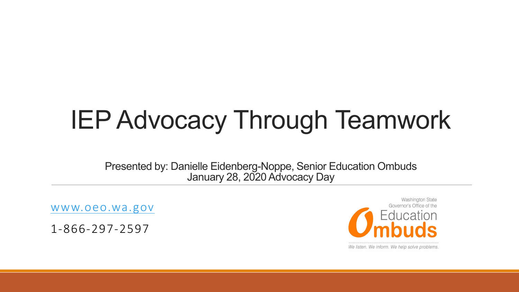## IEP Advocacy Through Teamwork

Presented by: Danielle Eidenberg-Noppe, Senior Education Ombuds January 28, 2020 Advocacy Day

[www.oeo.wa.gov](http://www.oeo.wa.gov/)

1-866-297-2597

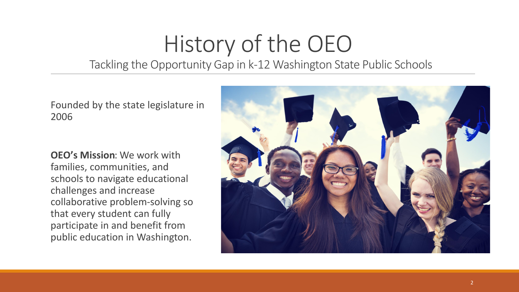# History of the OEO

Tackling the Opportunity Gap in k-12 Washington State Public Schools

Founded by the state legislature in 2006

**OEO's Mission**: We work with families, communities, and schools to navigate educational challenges and increase collaborative problem-solving so that every student can fully participate in and benefit from public education in Washington.

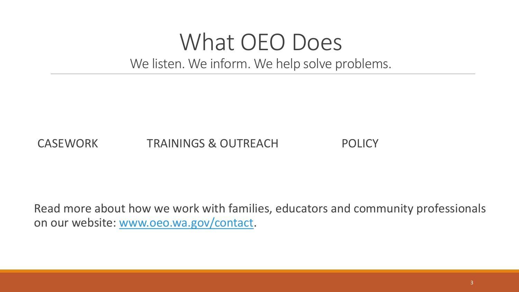### What OEO Does We listen. We inform. We help solve problems.

### CASEWORK TRAININGS & OUTREACH POLICY

Read more about how we work with families, educators and community professionals on our website: [www.oeo.wa.gov/contact](http://www.oeo.wa.gov/contact).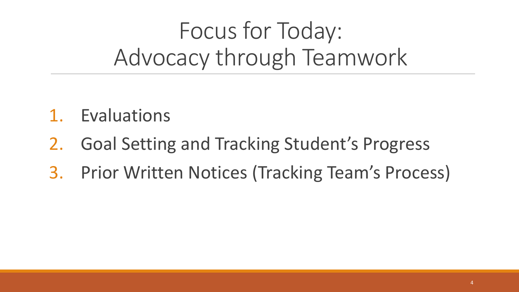## Focus for Today: Advocacy through Teamwork

- 1. Evaluations
- 2. Goal Setting and Tracking Student's Progress
- 3. Prior Written Notices (Tracking Team's Process)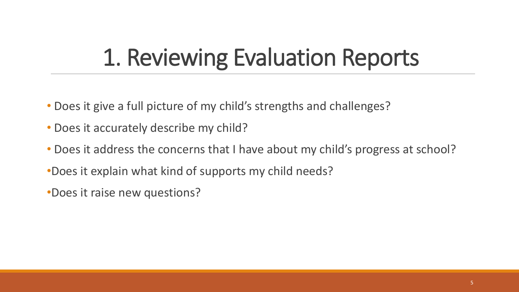## 1. Reviewing Evaluation Reports

- Does it give a full picture of my child's strengths and challenges?
- Does it accurately describe my child?
- Does it address the concerns that I have about my child's progress at school?
- •Does it explain what kind of supports my child needs?
- •Does it raise new questions?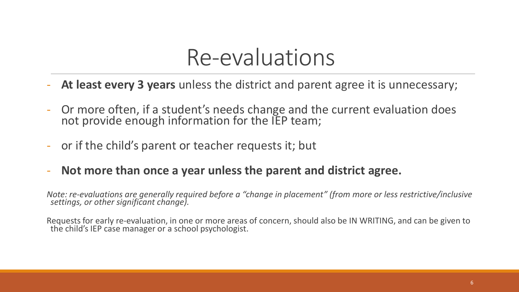### Re-evaluations

- At least every 3 years unless the district and parent agree it is unnecessary;
- Or more often, if a student's needs change and the current evaluation does not provide enough information for the IEP team;
- or if the child's parent or teacher requests it; but
- **Not more than once a year unless the parent and district agree.**

*Note: re-evaluations are generally required before a "change in placement" (from more or less restrictive/inclusive*<br>settings, or other significant change).

Requests for early re-evaluation, in one or more areas of concern, should also be IN WRITING, and can be given to<br>the child's IEP case manager or a school psychologist.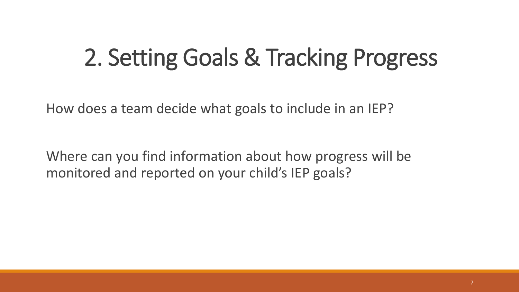## 2. Setting Goals & Tracking Progress

How does a team decide what goals to include in an IEP?

Where can you find information about how progress will be monitored and reported on your child's IEP goals?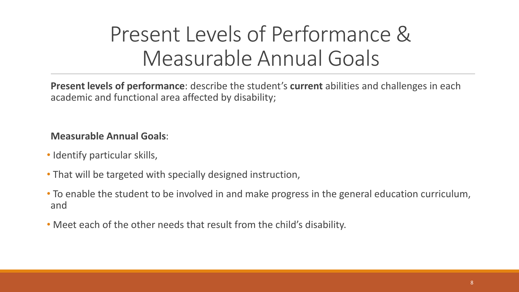### Present Levels of Performance & Measurable Annual Goals

**Present levels of performance**: describe the student's **current** abilities and challenges in each academic and functional area affected by disability;

**Measurable Annual Goals**:

- Identify particular skills,
- That will be targeted with specially designed instruction,
- To enable the student to be involved in and make progress in the general education curriculum, and
- Meet each of the other needs that result from the child's disability.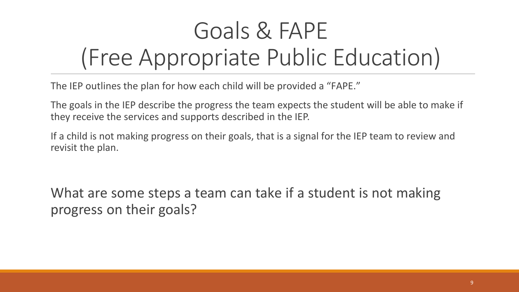## Goals & FAPE (Free Appropriate Public Education)

The IEP outlines the plan for how each child will be provided a "FAPE."

The goals in the IEP describe the progress the team expects the student will be able to make if they receive the services and supports described in the IEP.

If a child is not making progress on their goals, that is a signal for the IEP team to review and revisit the plan.

What are some steps a team can take if a student is not making progress on their goals?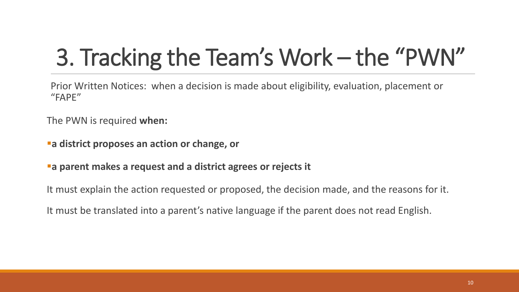## 3. Tracking the Team's Work – the "PWN"

Prior Written Notices: when a decision is made about eligibility, evaluation, placement or "FAPE"

The PWN is required **when:**

- **a district proposes an action or change, or**
- **a parent makes a request and a district agrees or rejects it**

It must explain the action requested or proposed, the decision made, and the reasons for it.

It must be translated into a parent's native language if the parent does not read English.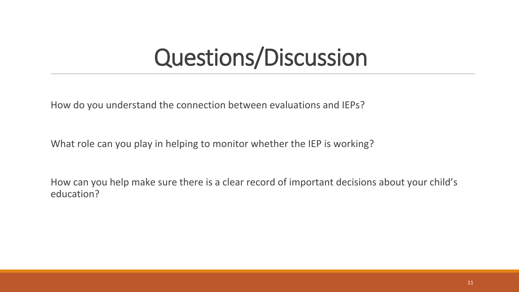## Questions/Discussion

How do you understand the connection between evaluations and IEPs?

What role can you play in helping to monitor whether the IEP is working?

How can you help make sure there is a clear record of important decisions about your child's education?